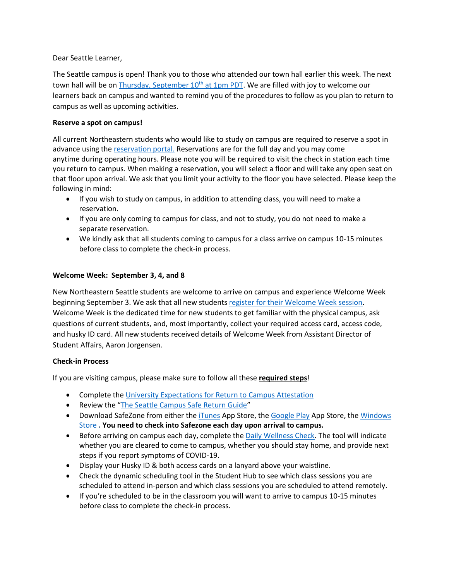Dear Seattle Learner,

The Seattle campus is open! Thank you to those who attended our town hall earlier this week. The next town hall will be on [Thursday, September 10](https://northeastern.zoom.us/j/92874583839)<sup>th</sup> at 1pm PDT. We are filled with joy to welcome our learners back on campus and wanted to remind you of the procedures to follow as you plan to return to campus as well as upcoming activities.

## **Reserve a spot on campus!**

All current Northeastern students who would like to study on campus are required to reserve a spot in advance using the [reservation portal.](https://nuseattle.as.me/schedule.php?appointmentType=category%3ASeattle+Study) Reservations are for the full day and you may come anytime during operating hours. Please note you will be required to visit the check in station each time you return to campus. When making a reservation, you will select a floor and will take any open seat on that floor upon arrival. We ask that you limit your activity to the floor you have selected. Please keep the following in mind:

- If you wish to study on campus, in addition to attending class, you will need to make a reservation.
- If you are only coming to campus for class, and not to study, you do not need to make a separate reservation.
- We kindly ask that all students coming to campus for a class arrive on campus 10-15 minutes before class to complete the check-in process.

## **Welcome Week: September 3, 4, and 8**

New Northeastern Seattle students are welcome to arrive on campus and experience Welcome Week beginning September 3. We ask that all new student[s register for their Welcome Week session.](https://nuseattle.as.me/schedule.php?appointmentType=category%3AWelcome+Day+Check-In) Welcome Week is the dedicated time for new students to get familiar with the physical campus, ask questions of current students, and, most importantly, collect your required access card, access code, and husky ID card. All new students received details of Welcome Week from Assistant Director of Student Affairs, Aaron Jorgensen.

## **Check-in Process**

If you are visiting campus, please make sure to follow all these **required steps**!

- Complete the University [Expectations for Return to Campus](https://nam12.safelinks.protection.outlook.com/?url=https%3A%2F%2Fservices.northeastern.edu%2Fwellness%3Fid%3Dwellness_cat_item%26sys_id%3Df2121eaedb665010a37cd206ca961934&data=02%7C01%7Cm.sykes%40NORTHEASTERN.EDU%7C225a030dc745485676ff08d841f3ff67%7Ca8eec281aaa34daeac9b9a398b9215e7%7C0%7C0%7C637331863500698592&sdata=TVdSkhLzhTm4DPjXTyuNksZ1%2FHxTHexYwBzyEd8icOY%3D&reserved=0) Attestation
- Review the "[The Seattle Campus Safe Return Guide](https://www.northeastern.edu/seattle/wp-content/uploads/2020/08/seattle-campus-safe-return-guide.pdf)"
- Download SafeZone from either the *[iTunes](https://itunes.apple.com/au/app/safezone/id533054756?mt=8) App Store, the [Google Play](https://play.google.com/store/apps/details?id=com.criticalarc.safezoneapp) App Store, the Windows* [Store](https://www.microsoft.com/en-us/store/p/safezone/9wzdncrdfj25) **. You need to check into Safezone each day upon arrival to campus.**
- Before arriving on campus each day, complete the [Daily Wellness Check.](https://nam12.safelinks.protection.outlook.com/?url=https%3A%2F%2Fwellness-check.northeastern.edu%2F&data=02%7C01%7Cm.sykes%40NORTHEASTERN.EDU%7C225a030dc745485676ff08d841f3ff67%7Ca8eec281aaa34daeac9b9a398b9215e7%7C0%7C0%7C637331863500708572&sdata=ZmHPVpLzNMn6cVYC7L6apRlT%2ByhxW3nw%2F7vsdTTcsGg%3D&reserved=0) The tool will indicate whether you are cleared to come to campus, whether you should stay home, and provide next steps if you report symptoms of COVID-19.
- Display your Husky ID & both access cards on a lanyard above your waistline.
- Check the dynamic scheduling tool in the Student Hub to see which class sessions you are scheduled to attend in-person and which class sessions you are scheduled to attend remotely.
- If you're scheduled to be in the classroom you will want to arrive to campus 10-15 minutes before class to complete the check-in process.